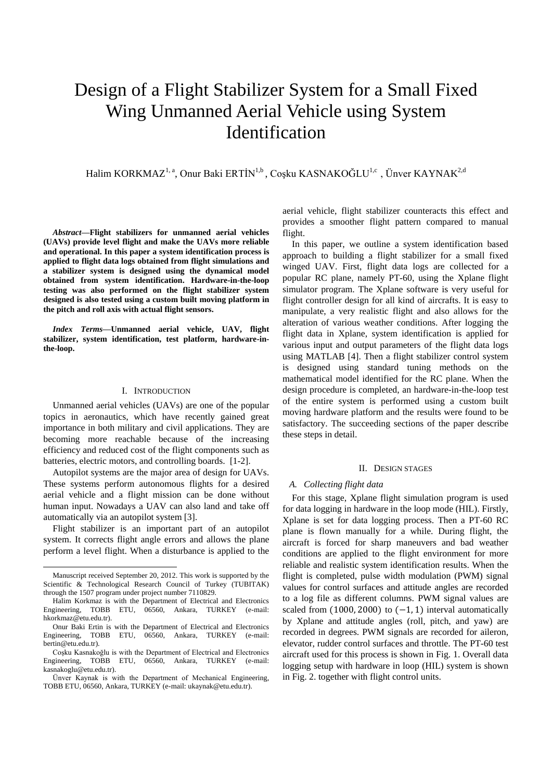# Design of a Flight Stabilizer System for a Small Fixed Wing Unmanned Aerial Vehicle using System Identification

Halim KORKMAZ<sup>1, a</sup>, Onur Baki ERTİN<sup>1,b</sup>, Coşku KASNAKOĞLU<sup>1,c</sup>, Ünver KAYNAK<sup>2,d</sup>

*Abstract***—Flight stabilizers for unmanned aerial vehicles (UAVs) provide level flight and make the UAVs more reliable and operational. In this paper a system identification process is applied to flight data logs obtained from flight simulations and a stabilizer system is designed using the dynamical model obtained from system identification. Hardware-in-the-loop testing was also performed on the flight stabilizer system designed is also tested using a custom built moving platform in the pitch and roll axis with actual flight sensors.**

*Index Terms***—Unmanned aerial vehicle, UAV, flight stabilizer, system identification, test platform, hardware-inthe-loop.**

## I. INTRODUCTION

Unmanned aerial vehicles (UAVs) are one of the popular topics in aeronautics, which have recently gained great importance in both military and civil applications. They are becoming more reachable because of the increasing efficiency and reduced cost of the flight components such as batteries, electric motors, and controlling boards. [1-2].

Autopilot systems are the major area of design for UAVs. These systems perform autonomous flights for a desired aerial vehicle and a flight mission can be done without human input. Nowadays a UAV can also land and take off automatically via an autopilot system [3].

Flight stabilizer is an important part of an autopilot system. It corrects flight angle errors and allows the plane perform a level flight. When a disturbance is applied to the

l

aerial vehicle, flight stabilizer counteracts this effect and provides a smoother flight pattern compared to manual flight.

In this paper, we outline a system identification based approach to building a flight stabilizer for a small fixed winged UAV. First, flight data logs are collected for a popular RC plane, namely PT-60, using the Xplane flight simulator program. The Xplane software is very useful for flight controller design for all kind of aircrafts. It is easy to manipulate, a very realistic flight and also allows for the alteration of various weather conditions. After logging the flight data in Xplane, system identification is applied for various input and output parameters of the flight data logs using MATLAB [4]. Then a flight stabilizer control system is designed using standard tuning methods on the mathematical model identified for the RC plane. When the design procedure is completed, an hardware-in-the-loop test of the entire system is performed using a custom built moving hardware platform and the results were found to be satisfactory. The succeeding sections of the paper describe these steps in detail.

#### II. DESIGN STAGES

#### *A. Collecting flight data*

 For this stage, Xplane flight simulation program is used for data logging in hardware in the loop mode (HIL). Firstly, Xplane is set for data logging process. Then a PT-60 RC plane is flown manually for a while. During flight, the aircraft is forced for sharp maneuvers and bad weather conditions are applied to the flight environment for more reliable and realistic system identification results. When the flight is completed, pulse width modulation (PWM) signal values for control surfaces and attitude angles are recorded to a log file as different columns. PWM signal values are scaled from  $(1000, 2000)$  to  $(-1, 1)$  interval automatically by Xplane and attitude angles (roll, pitch, and yaw) are recorded in degrees. PWM signals are recorded for aileron, elevator, rudder control surfaces and throttle. The PT-60 test aircraft used for this process is shown in Fig. 1. Overall data logging setup with hardware in loop (HIL) system is shown in Fig. 2. together with flight control units.

Manuscript received September 20, 2012. This work is supported by the Scientific & Technological Research Council of Turkey (TUBITAK) through the 1507 program under project number 7110829.

Halim Korkmaz is with the Department of Electrical and Electronics Engineering, TOBB ETU, 06560, Ankara, TURKEY (e-mail: hkorkmaz@etu.edu.tr).

Onur Baki Ertin is with the Department of Electrical and Electronics Engineering, TOBB ETU, 06560, Ankara, TURKEY (e-mail: bertin@etu.edu.tr).

Coşku Kasnakoğlu is with the Department of Electrical and Electronics Engineering, TOBB ETU, 06560, Ankara, TURKEY (e-mail: kasnakoglu@etu.edu.tr).

Ünver Kaynak is with the Department of Mechanical Engineering, TOBB ETU, 06560, Ankara, TURKEY (e-mail: ukaynak@etu.edu.tr).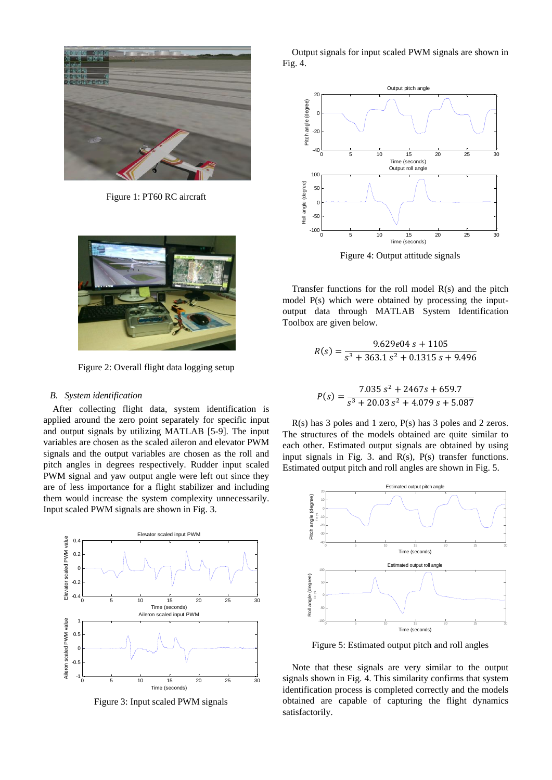

Figure 1: PT60 RC aircraft



Figure 2: Overall flight data logging setup

### *B. System identification*

After collecting flight data, system identification is applied around the zero point separately for specific input and output signals by utilizing MATLAB [5-9]. The input variables are chosen as the scaled aileron and elevator PWM signals and the output variables are chosen as the roll and pitch angles in degrees respectively. Rudder input scaled PWM signal and yaw output angle were left out since they are of less importance for a flight stabilizer and including them would increase the system complexity unnecessarily. Input scaled PWM signals are shown in Fig. 3.



Figure 3: Input scaled PWM signals

Output signals for input scaled PWM signals are shown in Fig. 4.

![](_page_1_Figure_9.jpeg)

Figure 4: Output attitude signals

Transfer functions for the roll model R(s) and the pitch model P(s) which were obtained by processing the inputoutput data through MATLAB System Identification Toolbox are given below.

$$
R(s) = \frac{9.629e04 \, s + 1105}{s^3 + 363.1 \, s^2 + 0.1315 \, s + 9.496}
$$

$$
P(s) = \frac{7.035 s^2 + 2467s + 659.7}{s^3 + 20.03 s^2 + 4.079 s + 5.087}
$$

R(s) has 3 poles and 1 zero, P(s) has 3 poles and 2 zeros. The structures of the models obtained are quite similar to each other. Estimated output signals are obtained by using input signals in Fig. 3. and  $R(s)$ ,  $P(s)$  transfer functions. Estimated output pitch and roll angles are shown in Fig. 5.

![](_page_1_Figure_15.jpeg)

Figure 5: Estimated output pitch and roll angles

Note that these signals are very similar to the output signals shown in Fig. 4. This similarity confirms that system identification process is completed correctly and the models obtained are capable of capturing the flight dynamics satisfactorily.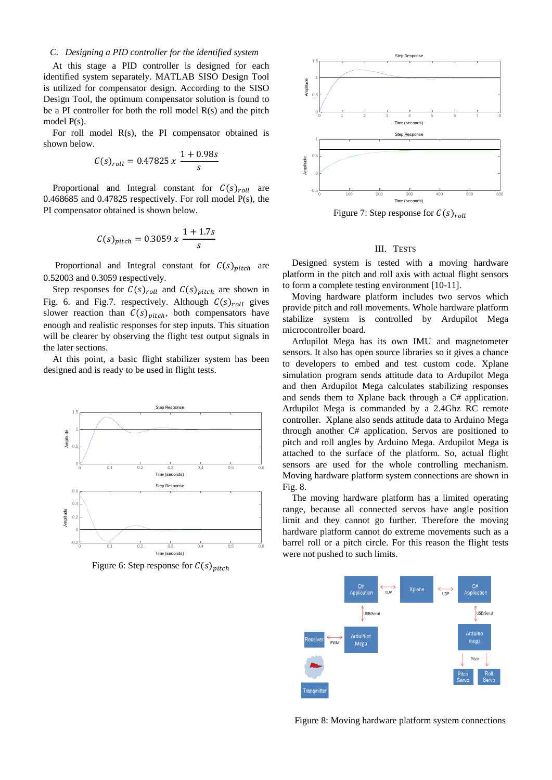## *C. Designing a PID controller for the identified system*

At this stage a PID controller is designed for each identified system separately. MATLAB SISO Design Tool is utilized for compensator design. According to the SISO Design Tool, the optimum compensator solution is found to be a PI controller for both the roll model R(s) and the pitch model P(s).

For roll model R(s), the PI compensator obtained is shown below.

$$
C(s)_{roll} = 0.47825 x \frac{1 + 0.98s}{s}
$$

Proportional and Integral constant for  $C(s)_{roll}$  are 0.468685 and 0.47825 respectively. For roll model P(s), the PI compensator obtained is shown below.

$$
C(s)_{pitch} = 0.3059 \, x \, \frac{1 + 1.7s}{s}
$$

Proportional and Integral constant for  $C(s)_{pitch}$  are 0.52003 and 0.3059 respectively.

Step responses for  $C(s)_{roll}$  and  $C(s)_{pitch}$  are shown in Fig. 6. and Fig.7. respectively. Although  $C(s)_{roll}$  gives slower reaction than  $C(s)_{pitch}$ , both compensators have enough and realistic responses for step inputs. This situation will be clearer by observing the flight test output signals in the later sections.

At this point, a basic flight stabilizer system has been designed and is ready to be used in flight tests.

![](_page_2_Figure_9.jpeg)

Figure 6: Step response for  $C(s)_{pitch}$ 

![](_page_2_Figure_11.jpeg)

Figure 7: Step response for  $C(s)_{roll}$ 

#### III. TESTS

Designed system is tested with a moving hardware platform in the pitch and roll axis with actual flight sensors to form a complete testing environment [10-11].

Moving hardware platform includes two servos which provide pitch and roll movements. Whole hardware platform stabilize system is controlled by Ardupilot Mega microcontroller board.

Ardupilot Mega has its own IMU and magnetometer sensors. It also has open source libraries so it gives a chance to developers to embed and test custom code. Xplane simulation program sends attitude data to Ardupilot Mega and then Ardupilot Mega calculates stabilizing responses and sends them to Xplane back through a C# application. Ardupilot Mega is commanded by a 2.4Ghz RC remote controller. Xplane also sends attitude data to Arduino Mega through another C# application. Servos are positioned to pitch and roll angles by Arduino Mega. Ardupilot Mega is attached to the surface of the platform. So, actual flight sensors are used for the whole controlling mechanism. Moving hardware platform system connections are shown in Fig. 8.

The moving hardware platform has a limited operating range, because all connected servos have angle position limit and they cannot go further. Therefore the moving hardware platform cannot do extreme movements such as a barrel roll or a pitch circle. For this reason the flight tests were not pushed to such limits.

![](_page_2_Figure_18.jpeg)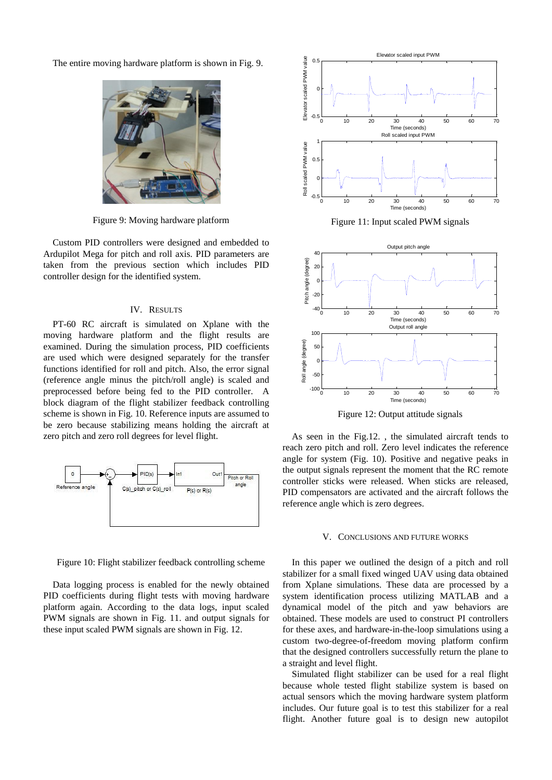The entire moving hardware platform is shown in Fig. 9.

![](_page_3_Picture_1.jpeg)

Figure 9: Moving hardware platform

Custom PID controllers were designed and embedded to Ardupilot Mega for pitch and roll axis. PID parameters are taken from the previous section which includes PID controller design for the identified system.

# IV. RESULTS

PT-60 RC aircraft is simulated on Xplane with the moving hardware platform and the flight results are examined. During the simulation process, PID coefficients are used which were designed separately for the transfer functions identified for roll and pitch. Also, the error signal (reference angle minus the pitch/roll angle) is scaled and preprocessed before being fed to the PID controller. A block diagram of the flight stabilizer feedback controlling scheme is shown in Fig. 10. Reference inputs are assumed to be zero because stabilizing means holding the aircraft at zero pitch and zero roll degrees for level flight.

![](_page_3_Figure_6.jpeg)

Figure 10: Flight stabilizer feedback controlling scheme

Data logging process is enabled for the newly obtained PID coefficients during flight tests with moving hardware platform again. According to the data logs, input scaled PWM signals are shown in Fig. 11. and output signals for these input scaled PWM signals are shown in Fig. 12.

![](_page_3_Figure_9.jpeg)

Figure 11: Input scaled PWM signals

![](_page_3_Figure_11.jpeg)

Figure 12: Output attitude signals

As seen in the Fig.12. , the simulated aircraft tends to reach zero pitch and roll. Zero level indicates the reference angle for system (Fig. 10). Positive and negative peaks in the output signals represent the moment that the RC remote controller sticks were released. When sticks are released, PID compensators are activated and the aircraft follows the reference angle which is zero degrees.

#### V. CONCLUSIONS AND FUTURE WORKS

In this paper we outlined the design of a pitch and roll stabilizer for a small fixed winged UAV using data obtained from Xplane simulations. These data are processed by a system identification process utilizing MATLAB and a dynamical model of the pitch and yaw behaviors are obtained. These models are used to construct PI controllers for these axes, and hardware-in-the-loop simulations using a custom two-degree-of-freedom moving platform confirm that the designed controllers successfully return the plane to a straight and level flight.

Simulated flight stabilizer can be used for a real flight because whole tested flight stabilize system is based on actual sensors which the moving hardware system platform includes. Our future goal is to test this stabilizer for a real flight. Another future goal is to design new autopilot